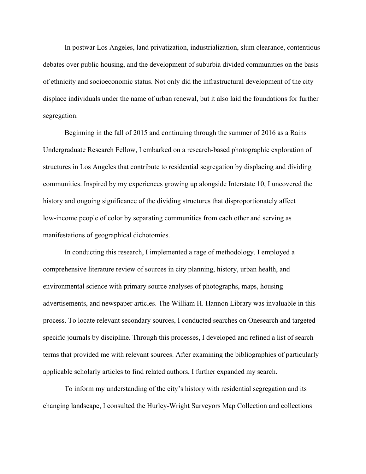In postwar Los Angeles, land privatization, industrialization, slum clearance, contentious debates over public housing, and the development of suburbia divided communities on the basis of ethnicity and socioeconomic status. Not only did the infrastructural development of the city displace individuals under the name of urban renewal, but it also laid the foundations for further segregation.

Beginning in the fall of 2015 and continuing through the summer of 2016 as a Rains Undergraduate Research Fellow, I embarked on a research-based photographic exploration of structures in Los Angeles that contribute to residential segregation by displacing and dividing communities. Inspired by my experiences growing up alongside Interstate 10, I uncovered the history and ongoing significance of the dividing structures that disproportionately affect low-income people of color by separating communities from each other and serving as manifestations of geographical dichotomies.

In conducting this research, I implemented a rage of methodology. I employed a comprehensive literature review of sources in city planning, history, urban health, and environmental science with primary source analyses of photographs, maps, housing advertisements, and newspaper articles. The William H. Hannon Library was invaluable in this process. To locate relevant secondary sources, I conducted searches on Onesearch and targeted specific journals by discipline. Through this processes, I developed and refined a list of search terms that provided me with relevant sources. After examining the bibliographies of particularly applicable scholarly articles to find related authors, I further expanded my search.

To inform my understanding of the city's history with residential segregation and its changing landscape, I consulted the Hurley-Wright Surveyors Map Collection and collections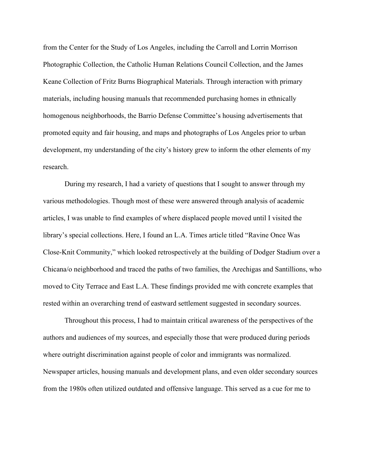from the Center for the Study of Los Angeles, including the Carroll and Lorrin Morrison Photographic Collection, the Catholic Human Relations Council Collection, and the James Keane Collection of Fritz Burns Biographical Materials. Through interaction with primary materials, including housing manuals that recommended purchasing homes in ethnically homogenous neighborhoods, the Barrio Defense Committee's housing advertisements that promoted equity and fair housing, and maps and photographs of Los Angeles prior to urban development, my understanding of the city's history grew to inform the other elements of my research.

During my research, I had a variety of questions that I sought to answer through my various methodologies. Though most of these were answered through analysis of academic articles, I was unable to find examples of where displaced people moved until I visited the library's special collections. Here, I found an L.A. Times article titled "Ravine Once Was Close-Knit Community," which looked retrospectively at the building of Dodger Stadium over a Chicana/o neighborhood and traced the paths of two families, the Arechigas and Santillions, who moved to City Terrace and East L.A. These findings provided me with concrete examples that rested within an overarching trend of eastward settlement suggested in secondary sources.

Throughout this process, I had to maintain critical awareness of the perspectives of the authors and audiences of my sources, and especially those that were produced during periods where outright discrimination against people of color and immigrants was normalized. Newspaper articles, housing manuals and development plans, and even older secondary sources from the 1980s often utilized outdated and offensive language. This served as a cue for me to